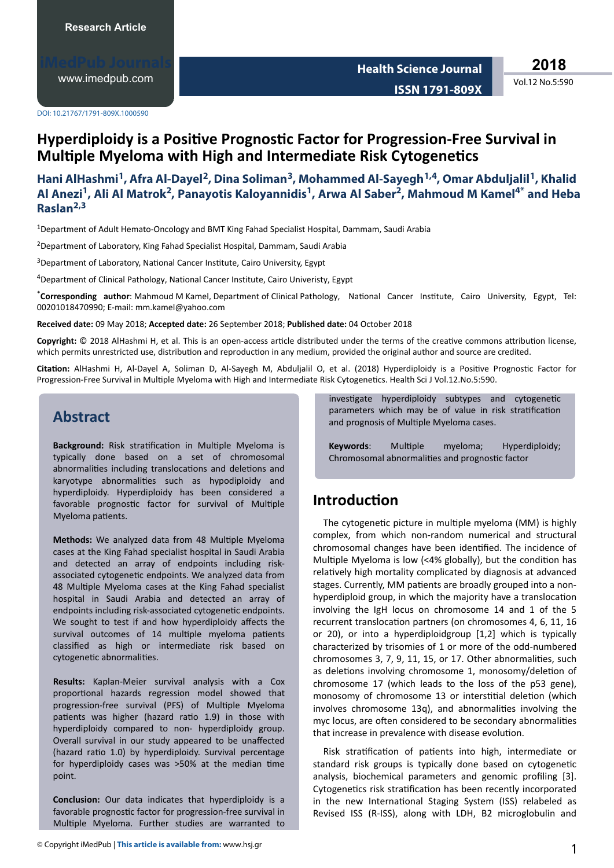[www.imedpub.com](http://www.imedpub.com/)

**Health Science Journal ISSN 1791-809X** **2018**

Vol.12 No.5:590

DOI: 10.21767/1791-809X.1000590

# **Hyperdiploidy is a Positive Prognostic Factor for Progression-Free Survival in Multiple Myeloma with High and Intermediate Risk Cytogenetics**

## **Hani AlHashmi<sup>1</sup> , Afra Al-Dayel<sup>2</sup> , Dina Soliman<sup>3</sup> , Mohammed Al-Sayegh1,4, Omar Abduljalil<sup>1</sup> , Khalid Al Anezi<sup>1</sup> , Ali Al Matrok<sup>2</sup> , Panayotis Kaloyannidis<sup>1</sup> , Arwa Al Saber<sup>2</sup> , Mahmoud M Kamel4\* and Heba Raslan2,3**

<sup>1</sup>Department of Adult Hemato-Oncology and BMT King Fahad Specialist Hospital, Dammam, Saudi Arabia

<sup>2</sup> Department of Laboratory, King Fahad Specialist Hospital, Dammam, Saudi Arabia

<sup>3</sup>Department of Laboratory, National Cancer Institute, Cairo University, Egypt

<sup>4</sup>Department of Clinical Pathology, National Cancer Institute, Cairo Univeristy, Egypt

\*Corresponding author: Mahmoud M Kamel, Department of Clinical Pathology, National Cancer Institute, Cairo University, Egypt, Tel: 00201018470990; E-mail: mm.kamel@yahoo.com

**Received date:** 09 May 2018; **Accepted date:** 26 September 2018; **Published date:** 04 October 2018

Copyright: © 2018 AlHashmi H, et al. This is an open-access article distributed under the terms of the creative commons attribution license, which permits unrestricted use, distribution and reproduction in any medium, provided the original author and source are credited.

Citation: AlHashmi H, Al-Dayel A, Soliman D, Al-Sayegh M, Abduljalil O, et al. (2018) Hyperdiploidy is a Positive Prognostic Factor for Progression-Free Survival in Multiple Myeloma with High and Intermediate Risk Cytogenetics. Health Sci J Vol.12.No.5:590.

## **Abstract**

**Background:** Risk stratification in Multiple Myeloma is typically done based on a set of chromosomal abnormalities including translocations and deletions and karyotype abnormalities such as hypodiploidy and hyperdiploidy. Hyperdiploidy has been considered a favorable prognostic factor for survival of Multiple Myeloma patients.

Methods: We analyzed data from 48 Multiple Myeloma cases at the King Fahad specialist hospital in Saudi Arabia and detected an array of endpoints including riskassociated cytogenetic endpoints. We analyzed data from 48 Multiple Myeloma cases at the King Fahad specialist hospital in Saudi Arabia and detected an array of endpoints including risk-associated cytogenetic endpoints. We sought to test if and how hyperdiploidy affects the survival outcomes of 14 multiple myeloma patients classified as high or intermediate risk based on cytogenetic abnormalities.

**Results:** Kaplan-Meier survival analysis with a Cox proportional hazards regression model showed that progression-free survival (PFS) of Multiple Myeloma patients was higher (hazard ratio 1.9) in those with hyperdiploidy compared to non- hyperdiploidy group. Overall survival in our study appeared to be unaffected (hazard ratio 1.0) by hyperdiploidy. Survival percentage for hyperdiploidy cases was  $>50\%$  at the median time point.

**Conclusion:** Our data indicates that hyperdiploidy is a favorable prognostic factor for progression-free survival in Multiple Myeloma. Further studies are warranted to

investigate hyperdiploidy subtypes and cytogenetic parameters which may be of value in risk stratification and prognosis of Multiple Myeloma cases.

**Keywords:** Multiple myeloma; Hyperdiploidy; Chromosomal abnormalities and prognostic factor

# **Introduction**

The cytogenetic picture in multiple myeloma (MM) is highly complex, from which non-random numerical and structural chromosomal changes have been identified. The incidence of Multiple Myeloma is low (<4% globally), but the condition has relatively high mortality complicated by diagnosis at advanced stages. Currently, MM patients are broadly grouped into a nonhyperdiploid group, in which the majority have a translocation involving the IgH locus on chromosome 14 and 1 of the 5 recurrent translocation partners (on chromosomes 4, 6, 11, 16 or 20), or into a hyperdiploidgroup [1,2] which is typically characterized by trisomies of 1 or more of the odd-numbered chromosomes 3, 7, 9, 11, 15, or 17. Other abnormalities, such as deletions involving chromosome 1, monosomy/deletion of chromosome 17 (which leads to the loss of the p53 gene), monosomy of chromosome 13 or interstitial deletion (which involves chromosome 13q), and abnormalities involving the myc locus, are often considered to be secondary abnormalities that increase in prevalence with disease evolution.

Risk stratification of patients into high, intermediate or standard risk groups is typically done based on cytogenetic analysis, biochemical parameters and genomic profiling [3]. Cytogenetics risk stratification has been recently incorporated in the new International Staging System (ISS) relabeled as Revised ISS (R-ISS), along with LDH, B2 microglobulin and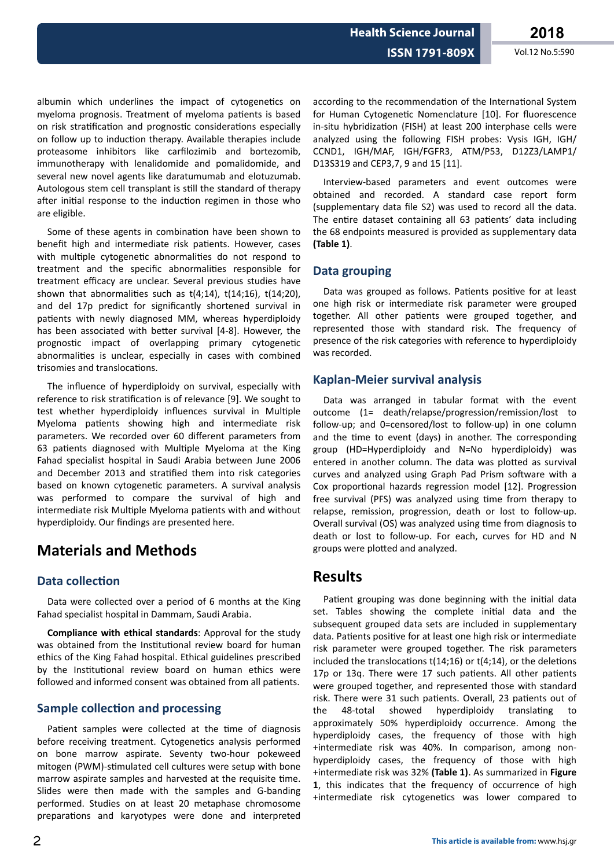Vol.12 No.5:590

albumin which underlines the impact of cytogenetics on myeloma prognosis. Treatment of myeloma patients is based on risk stratification and prognostic considerations especially on follow up to induction therapy. Available therapies include proteasome inhibitors like carfilozimib and bortezomib, immunotherapy with lenalidomide and pomalidomide, and several new novel agents like daratumumab and elotuzumab. Autologous stem cell transplant is still the standard of therapy after initial response to the induction regimen in those who are eligible.

Some of these agents in combination have been shown to benefit high and intermediate risk patients. However, cases with multiple cytogenetic abnormalities do not respond to treatment and the specific abnormalities responsible for treatment efficacy are unclear. Several previous studies have shown that abnormalities such as  $t(4;14)$ ,  $t(14;16)$ ,  $t(14;20)$ , and del 17p predict for significantly shortened survival in patients with newly diagnosed MM, whereas hyperdiploidy has been associated with better survival [4-8]. However, the prognostic impact of overlapping primary cytogenetic abnormalities is unclear, especially in cases with combined trisomies and translocations.

The influence of hyperdiploidy on survival, especially with reference to risk stratification is of relevance [9]. We sought to test whether hyperdiploidy influences survival in Multiple Myeloma patients showing high and intermediate risk parameters. We recorded over 60 different parameters from 63 patients diagnosed with Multiple Myeloma at the King Fahad specialist hospital in Saudi Arabia between June 2006 and December 2013 and stratified them into risk categories based on known cytogenetic parameters. A survival analysis was performed to compare the survival of high and intermediate risk Multiple Myeloma patients with and without hyperdiploidy. Our findings are presented here.

# **Materials and Methods**

### **Data collection**

Data were collected over a period of 6 months at the King Fahad specialist hospital in Dammam, Saudi Arabia.

**Compliance with ethical standards:** Approval for the study was obtained from the Institutional review board for human ethics of the King Fahad hospital. Ethical guidelines prescribed by the Institutional review board on human ethics were followed and informed consent was obtained from all patients.

### **Sample collection and processing**

Patient samples were collected at the time of diagnosis before receiving treatment. Cytogenetics analysis performed on bone marrow aspirate. Seventy two-hour pokeweed mitogen (PWM)-stimulated cell cultures were setup with bone marrow aspirate samples and harvested at the requisite time. Slides were then made with the samples and G-banding performed. Studies on at least 20 metaphase chromosome preparations and karyotypes were done and interpreted

according to the recommendation of the International System for Human Cytogenetic Nomenclature [10]. For fluorescence in-situ hybridization (FISH) at least 200 interphase cells were analyzed using the following FISH probes: Vysis IGH, IGH/ CCND1, IGH/MAF, IGH/FGFR3, ATM/P53, D12Z3/LAMP1/ D13S319 and CEP3,7, 9 and 15 [11].

Interview-based parameters and event outcomes were obtained and recorded. A standard case report form (supplementary data file S2) was used to record all the data. The entire dataset containing all 63 patients' data including the 68 endpoints measured is provided as supplementary data  $(Table 1)$ .

### Data grouping

Data was grouped as follows. Patients positive for at least one high risk or intermediate risk parameter were grouped together. All other patients were grouped together, and represented those with standard risk. The frequency of presence of the risk categories with reference to hyperdiploidy was recorded.

### **Kaplan-Meier survival analysis**

Data was arranged in tabular format with the event outcome (1= death/relapse/progression/remission/lost to follow-up; and 0=censored/lost to follow-up) in one column and the time to event (days) in another. The corresponding group (HD=Hyperdiploidy and N=No hyperdiploidy) was entered in another column. The data was plotted as survival curves and analyzed using Graph Pad Prism software with a Cox proportional hazards regression model [12]. Progression free survival (PFS) was analyzed using time from therapy to relapse, remission, progression, death or lost to follow-up. Overall survival (OS) was analyzed using time from diagnosis to death or lost to follow-up. For each, curves for HD and N groups were plotted and analyzed.

## **Results**

Patient grouping was done beginning with the initial data set. Tables showing the complete initial data and the subsequent grouped data sets are included in supplementary data. Patients positive for at least one high risk or intermediate risk parameter were grouped together. The risk parameters included the translocations  $t(14;16)$  or  $t(4;14)$ , or the deletions 17p or 13q. There were 17 such patients. All other patients were grouped together, and represented those with standard risk. There were 31 such patients. Overall, 23 patients out of 48-total showed hyperdiploidy translating the to approximately 50% hyperdiploidy occurrence. Among the hyperdiploidy cases, the frequency of those with high +intermediate risk was 40%. In comparison, among nonhyperdiploidy cases, the frequency of those with high +intermediate risk was 32% (Table 1). As summarized in Figure 1, this indicates that the frequency of occurrence of high +intermediate risk cytogenetics was lower compared to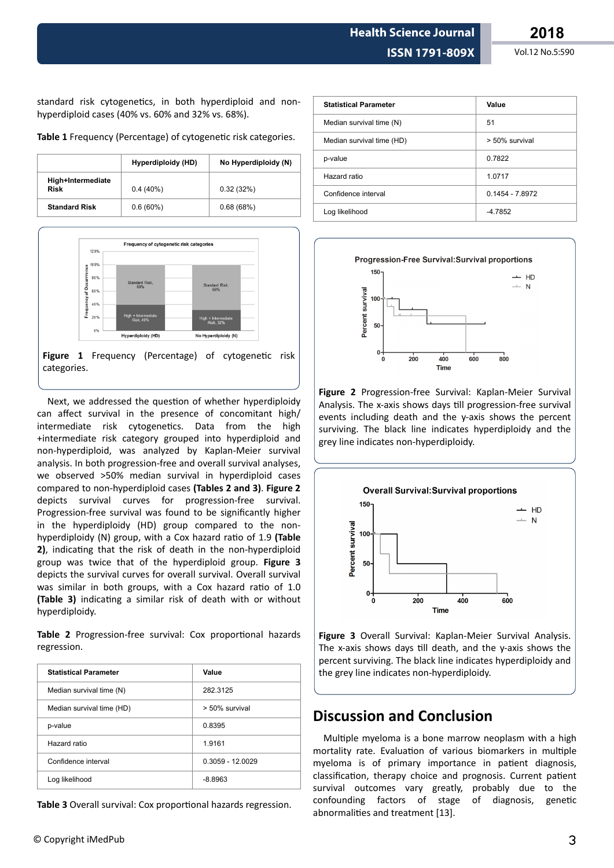standard risk cytogenetics, in both hyperdiploid and nonhyperdiploid cases (40% vs. 60% and 32% vs. 68%).

Table 1 Frequency (Percentage) of cytogenetic risk categories.

|                                  | Hyperdiploidy (HD) | No Hyperdiploidy (N) |
|----------------------------------|--------------------|----------------------|
| High+Intermediate<br><b>Risk</b> | $0.4(40\%)$        | 0.32(32%)            |
| <b>Standard Risk</b>             | $0.6(60\%)$        | 0.68(68%)            |



Figure 1 Frequency (Percentage) of cytogenetic risk categories.

Next, we addressed the question of whether hyperdiploidy can affect survival in the presence of concomitant high/ intermediate risk cytogenetics. Data from the high +intermediate risk category grouped into hyperdiploid and non-hyperdiploid, was analyzed by Kaplan-Meier survival analysis. In both progression-free and overall survival analyses, we observed >50% median survival in hyperdiploid cases compared to non-hyperdiploid cases **(Tables 2 and 3)**. **Figure 2** depicts survival curves for progression-free survival. Progression-free survival was found to be significantly higher in the hyperdiploidy (HD) group compared to the nonhyperdiploidy (N) group, with a Cox hazard ratio of 1.9 (Table **2)**, indicating that the risk of death in the non-hyperdiploid group was twice that of the hyperdiploid group. **Figure 3** depicts the survival curves for overall survival. Overall survival was similar in both groups, with a Cox hazard ratio of 1.0 **(Table 3)** indicating a similar risk of death with or without hyperdiploidy.

Table 2 Progression-free survival: Cox proportional hazards regression.

| <b>Statistical Parameter</b> | Value              |
|------------------------------|--------------------|
| Median survival time (N)     | 282.3125           |
| Median survival time (HD)    | > 50% survival     |
| p-value                      | 0.8395             |
| Hazard ratio                 | 1.9161             |
| Confidence interval          | $0.3059 - 12.0029$ |
| Log likelihood               | $-8.8963$          |

**Table 3** Overall survival: Cox proportional hazards regression.

| <b>Statistical Parameter</b> | Value             |
|------------------------------|-------------------|
| Median survival time (N)     | 51                |
| Median survival time (HD)    | > 50% survival    |
| p-value                      | 0.7822            |
| Hazard ratio                 | 1.0717            |
| Confidence interval          | $0.1454 - 7.8972$ |
| Log likelihood               | $-4.7852$         |

**Progression-Free Survival: Survival proportions** 



**Figure 2** Progression-free Survival: Kaplan-Meier Survival Analysis. The x-axis shows days till progression-free survival events including death and the y-axis shows the percent surviving. The black line indicates hyperdiploidy and the grey line indicates non-hyperdiploidy.



**Figure 3** Overall Survival: Kaplan-Meier Survival Analysis. The x-axis shows days till death, and the y-axis shows the percent surviving. The black line indicates hyperdiploidy and the grey line indicates non-hyperdiploidy.

# **Discussion and Conclusion**

Multiple myeloma is a bone marrow neoplasm with a high mortality rate. Evaluation of various biomarkers in multiple myeloma is of primary importance in patient diagnosis, classification, therapy choice and prognosis. Current patient survival outcomes vary greatly, probably due to the confounding factors of stage of diagnosis, genetic abnormalities and treatment [13].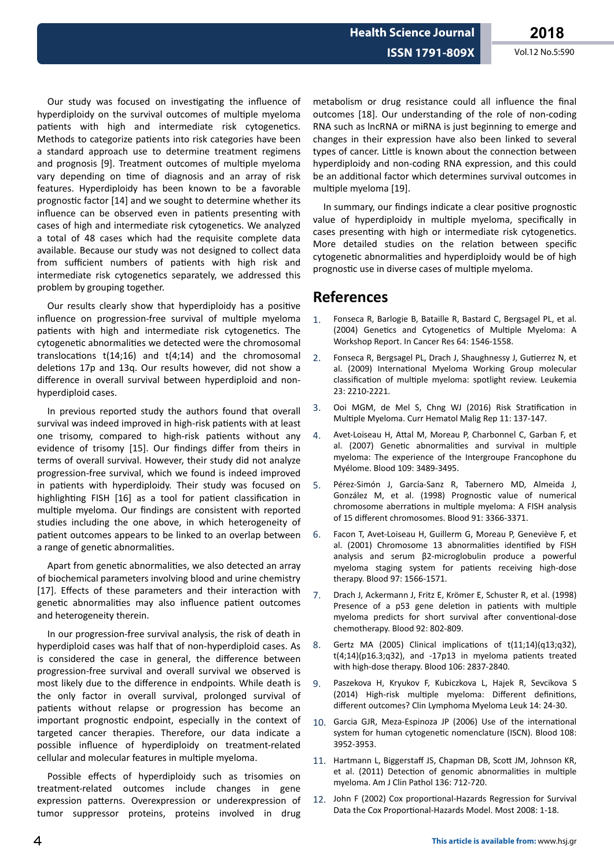Our study was focused on investigating the influence of hyperdiploidy on the survival outcomes of multiple myeloma patients with high and intermediate risk cytogenetics. Methods to categorize patients into risk categories have been a standard approach use to determine treatment regimens and prognosis [9]. Treatment outcomes of multiple myeloma vary depending on time of diagnosis and an array of risk features. Hyperdiploidy has been known to be a favorable prognostic factor [14] and we sought to determine whether its influence can be observed even in patients presenting with cases of high and intermediate risk cytogenetics. We analyzed a total of 48 cases which had the requisite complete data available. Because our study was not designed to collect data from sufficient numbers of patients with high risk and intermediate risk cytogenetics separately, we addressed this problem by grouping together.

Our results clearly show that hyperdiploidy has a positive influence on progression-free survival of multiple myeloma patients with high and intermediate risk cytogenetics. The cytogenetic abnormalities we detected were the chromosomal translocations  $t(14;16)$  and  $t(4;14)$  and the chromosomal deletions 17p and 13q. Our results however, did not show a difference in overall survival between hyperdiploid and nonhyperdiploid cases.

In previous reported study the authors found that overall survival was indeed improved in high-risk patients with at least one trisomy, compared to high-risk patients without any evidence of trisomy [15]. Our findings differ from theirs in terms of overall survival. However, their study did not analyze progression-free survival, which we found is indeed improved in patients with hyperdiploidy. Their study was focused on highlighting FISH [16] as a tool for patient classification in multiple myeloma. Our findings are consistent with reported studies including the one above, in which heterogeneity of patient outcomes appears to be linked to an overlap between a range of genetic abnormalities.

Apart from genetic abnormalities, we also detected an array of biochemical parameters involving blood and urine chemistry [17]. Effects of these parameters and their interaction with genetic abnormalities may also influence patient outcomes and heterogeneity therein.

In our progression-free survival analysis, the risk of death in hyperdiploid cases was half that of non-hyperdiploid cases. As is considered the case in general, the difference between progression-free survival and overall survival we observed is most likely due to the difference in endpoints. While death is the only factor in overall survival, prolonged survival of patients without relapse or progression has become an important prognostic endpoint, especially in the context of targeted cancer therapies. Therefore, our data indicate a possible influence of hyperdiploidy on treatment-related cellular and molecular features in multiple myeloma.

Possible effects of hyperdiploidy such as trisomies on treatment-related outcomes include changes in gene expression patterns. Overexpression or underexpression of tumor suppressor proteins, proteins involved in drug

metabolism or drug resistance could all influence the final outcomes [18]. Our understanding of the role of non-coding RNA such as lncRNA or miRNA is just beginning to emerge and changes in their expression have also been linked to several types of cancer. Little is known about the connection between hyperdiploidy and non-coding RNA expression, and this could be an additional factor which determines survival outcomes in multiple myeloma [19].

In summary, our findings indicate a clear positive prognostic value of hyperdiploidy in multiple myeloma, specifically in cases presenting with high or intermediate risk cytogenetics. More detailed studies on the relation between specific cytogenetic abnormalities and hyperdiploidy would be of high prognostic use in diverse cases of multiple myeloma.

# **References**

- 1. Fonseca R, Barlogie B, Bataille R, Bastard C, Bergsagel PL, et al. (2004) Genetics and Cytogenetics of Multiple Myeloma: A Workshop Report. In Cancer Res 64: 1546-1558.
- 2. Fonseca R, Bergsagel PL, Drach J, Shaughnessy J, Gutierrez N, et al. (2009) International Myeloma Working Group molecular classification of multiple myeloma: spotlight review. Leukemia 23: 2210-2221.
- 3. Ooi MGM, de Mel S, Chng WJ (2016) Risk Stratification in Multiple Myeloma. Curr Hematol Malig Rep 11: 137-147.
- 4. Avet-Loiseau H, Attal M, Moreau P, Charbonnel C, Garban F, et al. (2007) Genetic abnormalities and survival in multiple myeloma: The experience of the Intergroupe Francophone du Myélome. Blood 109: 3489-3495.
- 5. Pérez-Simón J, García-Sanz R, Tabernero MD, Almeida J, González M, et al. (1998) Prognostic value of numerical chromosome aberrations in multiple myeloma: A FISH analysis of 15 different chromosomes. Blood 91: 3366-3371.
- 6. Facon T, Avet-Loiseau H, Guillerm G, Moreau P, Geneviève F, et al. (2001) Chromosome 13 abnormalities identified by FISH analysis and serum β2-microglobulin produce a powerful myeloma staging system for patients receiving high-dose therapy. Blood 97: 1566-1571.
- 7. Drach J, Ackermann J, Fritz E, Krömer E, Schuster R, et al. (1998) Presence of a p53 gene deletion in patients with multiple myeloma predicts for short survival after conventional-dose chemotherapy. Blood 92: 802-809.
- 8. Gertz MA (2005) Clinical implications of  $t(11;14)(q13;q32)$ ,  $t(4;14)(p16.3;q32)$ , and -17p13 in myeloma patients treated with high-dose therapy. Blood 106: 2837-2840.
- 9. Paszekova H, Kryukov F, Kubiczkova L, Hajek R, Sevcikova S (2014) High-risk multiple myeloma: Different definitions, different outcomes? Clin Lymphoma Myeloma Leuk 14: 24-30.
- 10. Garcia GJR, Meza-Espinoza JP (2006) Use of the international system for human cytogenetic nomenclature (ISCN). Blood 108: 3952-3953.
- 11. Hartmann L, Biggerstaff JS, Chapman DB, Scott JM, Johnson KR, et al. (2011) Detection of genomic abnormalities in multiple myeloma. Am J Clin Pathol 136: 712-720.
- 12. John F (2002) Cox proportional-Hazards Regression for Survival Data the Cox Proportional-Hazards Model. Most 2008: 1-18.